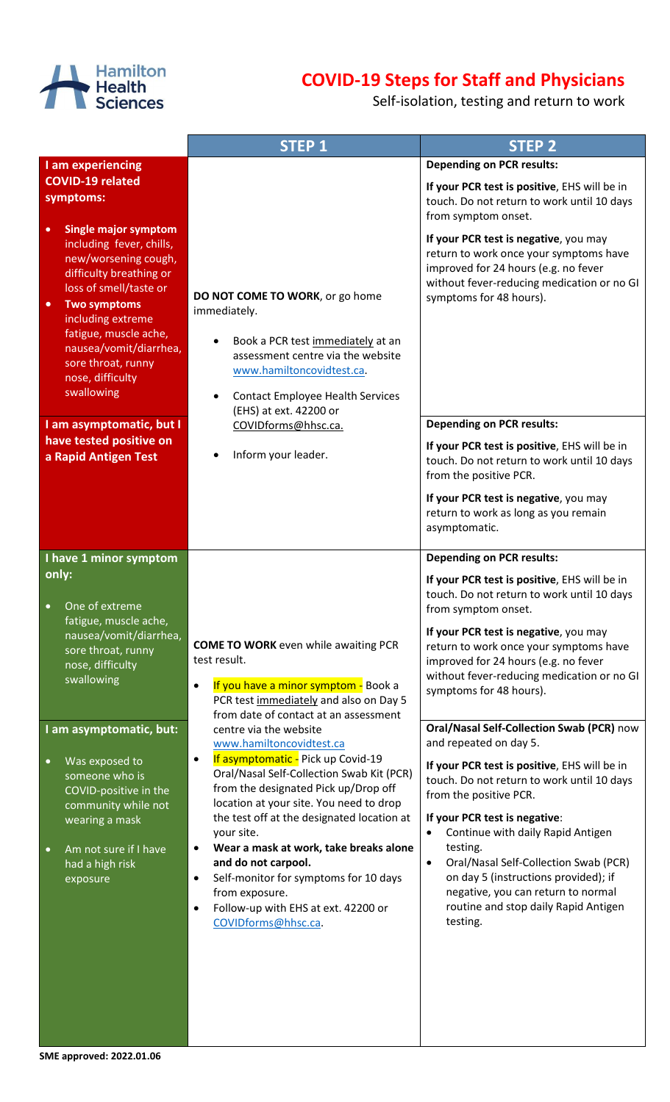

## **COVID-19 Steps for Staff and Physicians**

Self-isolation, testing and return to work

|                                                                                                                                                                                                                                                                                                                       | <b>STEP 1</b>                                                                                                                                                                                                                               | <b>STEP 2</b>                                                                                                                                                                                                                         |
|-----------------------------------------------------------------------------------------------------------------------------------------------------------------------------------------------------------------------------------------------------------------------------------------------------------------------|---------------------------------------------------------------------------------------------------------------------------------------------------------------------------------------------------------------------------------------------|---------------------------------------------------------------------------------------------------------------------------------------------------------------------------------------------------------------------------------------|
| I am experiencing                                                                                                                                                                                                                                                                                                     |                                                                                                                                                                                                                                             | <b>Depending on PCR results:</b>                                                                                                                                                                                                      |
| <b>COVID-19 related</b><br>symptoms:                                                                                                                                                                                                                                                                                  |                                                                                                                                                                                                                                             | If your PCR test is positive, EHS will be in<br>touch. Do not return to work until 10 days<br>from symptom onset.                                                                                                                     |
| <b>Single major symptom</b><br>$\bullet$<br>including fever, chills,<br>new/worsening cough,<br>difficulty breathing or<br>loss of smell/taste or<br><b>Two symptoms</b><br>$\bullet$<br>including extreme<br>fatigue, muscle ache,<br>nausea/vomit/diarrhea,<br>sore throat, runny<br>nose, difficulty<br>swallowing | DO NOT COME TO WORK, or go home<br>immediately.<br>Book a PCR test immediately at an<br>assessment centre via the website<br>www.hamiltoncovidtest.ca.<br><b>Contact Employee Health Services</b><br>٠<br>(EHS) at ext. 42200 or            | If your PCR test is negative, you may<br>return to work once your symptoms have<br>improved for 24 hours (e.g. no fever<br>without fever-reducing medication or no GI<br>symptoms for 48 hours).                                      |
| I am asymptomatic, but I                                                                                                                                                                                                                                                                                              | COVIDforms@hhsc.ca.                                                                                                                                                                                                                         | <b>Depending on PCR results:</b>                                                                                                                                                                                                      |
| have tested positive on<br>a Rapid Antigen Test                                                                                                                                                                                                                                                                       | Inform your leader.                                                                                                                                                                                                                         | If your PCR test is positive, EHS will be in<br>touch. Do not return to work until 10 days<br>from the positive PCR.                                                                                                                  |
|                                                                                                                                                                                                                                                                                                                       |                                                                                                                                                                                                                                             | If your PCR test is negative, you may<br>return to work as long as you remain<br>asymptomatic.                                                                                                                                        |
| I have 1 minor symptom                                                                                                                                                                                                                                                                                                |                                                                                                                                                                                                                                             | <b>Depending on PCR results:</b>                                                                                                                                                                                                      |
| only:<br>One of extreme<br>$\bullet$<br>fatigue, muscle ache,<br>nausea/vomit/diarrhea,                                                                                                                                                                                                                               | <b>COME TO WORK</b> even while awaiting PCR                                                                                                                                                                                                 | If your PCR test is positive, EHS will be in<br>touch. Do not return to work until 10 days<br>from symptom onset.<br>If your PCR test is negative, you may<br>return to work once your symptoms have                                  |
| sore throat, runny<br>nose, difficulty<br>swallowing                                                                                                                                                                                                                                                                  | test result.<br>If you have a minor symptom - Book a<br>$\bullet$<br>PCR test immediately and also on Day 5<br>from date of contact at an assessment                                                                                        | improved for 24 hours (e.g. no fever<br>without fever-reducing medication or no GI<br>symptoms for 48 hours).                                                                                                                         |
| I am asymptomatic, but:                                                                                                                                                                                                                                                                                               | centre via the website<br>www.hamiltoncovidtest.ca                                                                                                                                                                                          | Oral/Nasal Self-Collection Swab (PCR) now<br>and repeated on day 5.                                                                                                                                                                   |
| Was exposed to<br>$\bullet$<br>someone who is<br>COVID-positive in the<br>community while not<br>wearing a mask                                                                                                                                                                                                       | If asymptomatic - Pick up Covid-19<br>$\bullet$<br>Oral/Nasal Self-Collection Swab Kit (PCR)<br>from the designated Pick up/Drop off<br>location at your site. You need to drop<br>the test off at the designated location at               | If your PCR test is positive, EHS will be in<br>touch. Do not return to work until 10 days<br>from the positive PCR.<br>If your PCR test is negative:                                                                                 |
| Am not sure if I have<br>$\bullet$<br>had a high risk<br>exposure                                                                                                                                                                                                                                                     | your site.<br>Wear a mask at work, take breaks alone<br>$\bullet$<br>and do not carpool.<br>Self-monitor for symptoms for 10 days<br>$\bullet$<br>from exposure.<br>Follow-up with EHS at ext. 42200 or<br>$\bullet$<br>COVIDforms@hhsc.ca. | Continue with daily Rapid Antigen<br>testing.<br>Oral/Nasal Self-Collection Swab (PCR)<br>$\bullet$<br>on day 5 (instructions provided); if<br>negative, you can return to normal<br>routine and stop daily Rapid Antigen<br>testing. |

**SME approved: 2022.01.06**